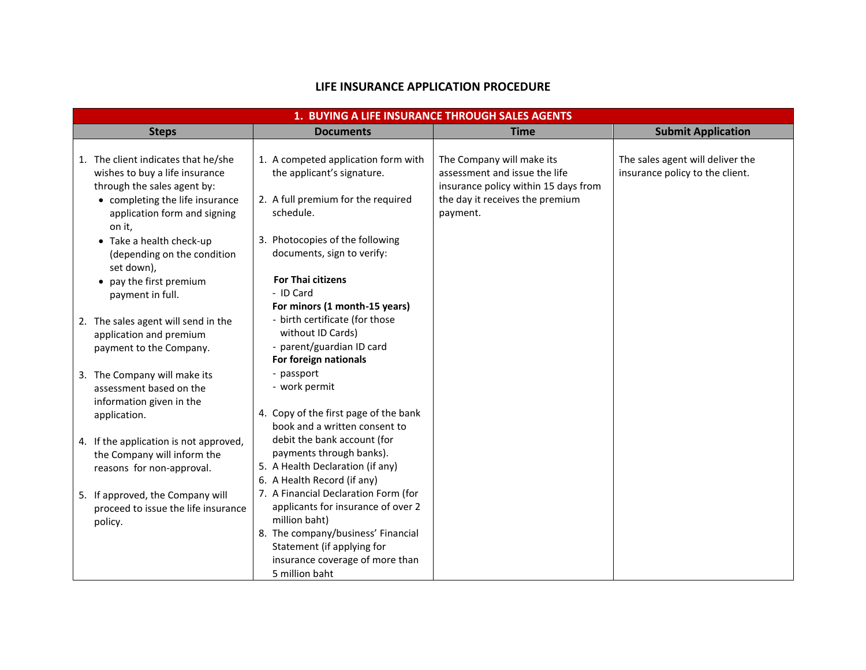## **LIFE INSURANCE APPLICATION PROCEDURE**

| 1. BUYING A LIFE INSURANCE THROUGH SALES AGENTS                         |                                                                     |                                      |                                  |  |  |  |
|-------------------------------------------------------------------------|---------------------------------------------------------------------|--------------------------------------|----------------------------------|--|--|--|
| <b>Steps</b>                                                            | <b>Documents</b>                                                    | <b>Time</b>                          | <b>Submit Application</b>        |  |  |  |
|                                                                         |                                                                     |                                      |                                  |  |  |  |
| 1. The client indicates that he/she                                     | 1. A competed application form with                                 | The Company will make its            | The sales agent will deliver the |  |  |  |
| wishes to buy a life insurance                                          | the applicant's signature.                                          | assessment and issue the life        | insurance policy to the client.  |  |  |  |
| through the sales agent by:                                             |                                                                     | insurance policy within 15 days from |                                  |  |  |  |
| • completing the life insurance                                         | 2. A full premium for the required<br>schedule.                     | the day it receives the premium      |                                  |  |  |  |
| application form and signing<br>on it,                                  |                                                                     | payment.                             |                                  |  |  |  |
| • Take a health check-up                                                | 3. Photocopies of the following                                     |                                      |                                  |  |  |  |
| (depending on the condition                                             | documents, sign to verify:                                          |                                      |                                  |  |  |  |
| set down),                                                              |                                                                     |                                      |                                  |  |  |  |
| • pay the first premium                                                 | <b>For Thai citizens</b>                                            |                                      |                                  |  |  |  |
| payment in full.                                                        | - ID Card                                                           |                                      |                                  |  |  |  |
|                                                                         | For minors (1 month-15 years)                                       |                                      |                                  |  |  |  |
| 2. The sales agent will send in the                                     | - birth certificate (for those                                      |                                      |                                  |  |  |  |
| application and premium                                                 | without ID Cards)<br>- parent/guardian ID card                      |                                      |                                  |  |  |  |
| payment to the Company.                                                 | For foreign nationals                                               |                                      |                                  |  |  |  |
| 3. The Company will make its                                            | - passport                                                          |                                      |                                  |  |  |  |
| assessment based on the                                                 | - work permit                                                       |                                      |                                  |  |  |  |
| information given in the                                                |                                                                     |                                      |                                  |  |  |  |
| application.                                                            | 4. Copy of the first page of the bank                               |                                      |                                  |  |  |  |
|                                                                         | book and a written consent to                                       |                                      |                                  |  |  |  |
| 4. If the application is not approved,                                  | debit the bank account (for                                         |                                      |                                  |  |  |  |
| the Company will inform the                                             | payments through banks).                                            |                                      |                                  |  |  |  |
| reasons for non-approval.                                               | 5. A Health Declaration (if any)                                    |                                      |                                  |  |  |  |
|                                                                         | 6. A Health Record (if any)<br>7. A Financial Declaration Form (for |                                      |                                  |  |  |  |
| 5. If approved, the Company will<br>proceed to issue the life insurance | applicants for insurance of over 2                                  |                                      |                                  |  |  |  |
| policy.                                                                 | million baht)                                                       |                                      |                                  |  |  |  |
|                                                                         | 8. The company/business' Financial                                  |                                      |                                  |  |  |  |
|                                                                         | Statement (if applying for                                          |                                      |                                  |  |  |  |
|                                                                         | insurance coverage of more than                                     |                                      |                                  |  |  |  |
|                                                                         | 5 million baht                                                      |                                      |                                  |  |  |  |